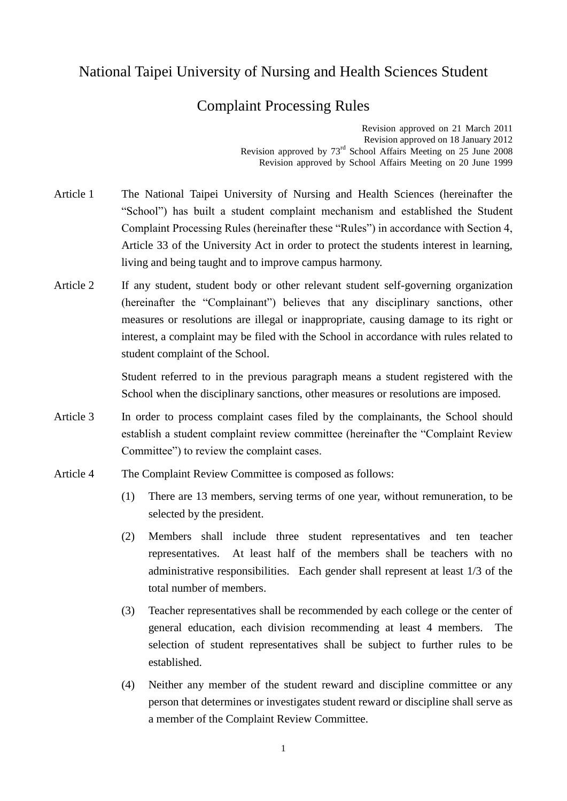## National Taipei University of Nursing and Health Sciences Student

## Complaint Processing Rules

Revision approved on 21 March 2011 Revision approved on 18 January 2012 Revision approved by 73rd School Affairs Meeting on 25 June 2008 Revision approved by School Affairs Meeting on 20 June 1999

- Article 1 The National Taipei University of Nursing and Health Sciences (hereinafter the "School") has built a student complaint mechanism and established the Student Complaint Processing Rules (hereinafter these "Rules") in accordance with Section 4, Article 33 of the University Act in order to protect the students interest in learning, living and being taught and to improve campus harmony.
- Article 2 If any student, student body or other relevant student self-governing organization (hereinafter the "Complainant") believes that any disciplinary sanctions, other measures or resolutions are illegal or inappropriate, causing damage to its right or interest, a complaint may be filed with the School in accordance with rules related to student complaint of the School.

Student referred to in the previous paragraph means a student registered with the School when the disciplinary sanctions, other measures or resolutions are imposed.

- Article 3 In order to process complaint cases filed by the complainants, the School should establish a student complaint review committee (hereinafter the "Complaint Review Committee") to review the complaint cases.
- Article 4 The Complaint Review Committee is composed as follows:
	- (1) There are 13 members, serving terms of one year, without remuneration, to be selected by the president.
	- (2) Members shall include three student representatives and ten teacher representatives. At least half of the members shall be teachers with no administrative responsibilities. Each gender shall represent at least 1/3 of the total number of members.
	- (3) Teacher representatives shall be recommended by each college or the center of general education, each division recommending at least 4 members. The selection of student representatives shall be subject to further rules to be established.
	- (4) Neither any member of the student reward and discipline committee or any person that determines or investigates student reward or discipline shall serve as a member of the Complaint Review Committee.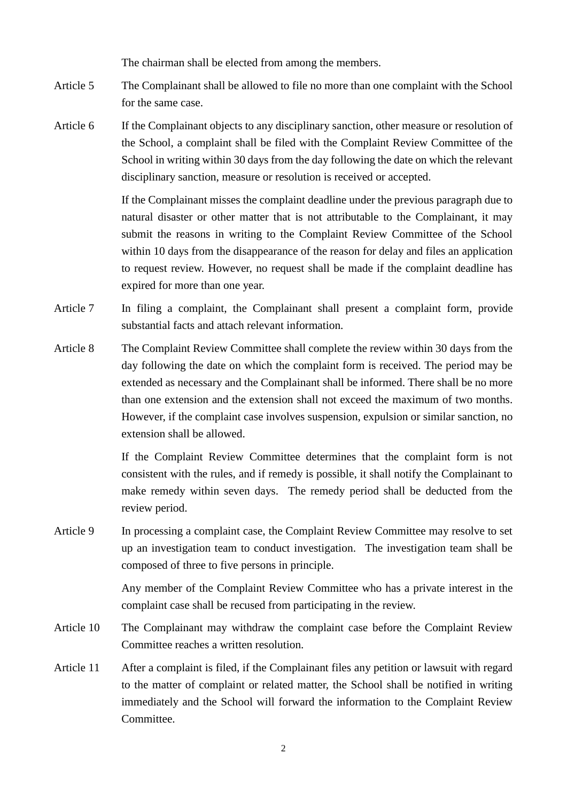The chairman shall be elected from among the members.

- Article 5 The Complainant shall be allowed to file no more than one complaint with the School for the same case.
- Article 6 If the Complainant objects to any disciplinary sanction, other measure or resolution of the School, a complaint shall be filed with the Complaint Review Committee of the School in writing within 30 days from the day following the date on which the relevant disciplinary sanction, measure or resolution is received or accepted.

If the Complainant misses the complaint deadline under the previous paragraph due to natural disaster or other matter that is not attributable to the Complainant, it may submit the reasons in writing to the Complaint Review Committee of the School within 10 days from the disappearance of the reason for delay and files an application to request review. However, no request shall be made if the complaint deadline has expired for more than one year.

- Article 7 In filing a complaint, the Complainant shall present a complaint form, provide substantial facts and attach relevant information.
- Article 8 The Complaint Review Committee shall complete the review within 30 days from the day following the date on which the complaint form is received. The period may be extended as necessary and the Complainant shall be informed. There shall be no more than one extension and the extension shall not exceed the maximum of two months. However, if the complaint case involves suspension, expulsion or similar sanction, no extension shall be allowed.

If the Complaint Review Committee determines that the complaint form is not consistent with the rules, and if remedy is possible, it shall notify the Complainant to make remedy within seven days. The remedy period shall be deducted from the review period.

Article 9 In processing a complaint case, the Complaint Review Committee may resolve to set up an investigation team to conduct investigation. The investigation team shall be composed of three to five persons in principle.

> Any member of the Complaint Review Committee who has a private interest in the complaint case shall be recused from participating in the review.

- Article 10 The Complainant may withdraw the complaint case before the Complaint Review Committee reaches a written resolution.
- Article 11 After a complaint is filed, if the Complainant files any petition or lawsuit with regard to the matter of complaint or related matter, the School shall be notified in writing immediately and the School will forward the information to the Complaint Review Committee.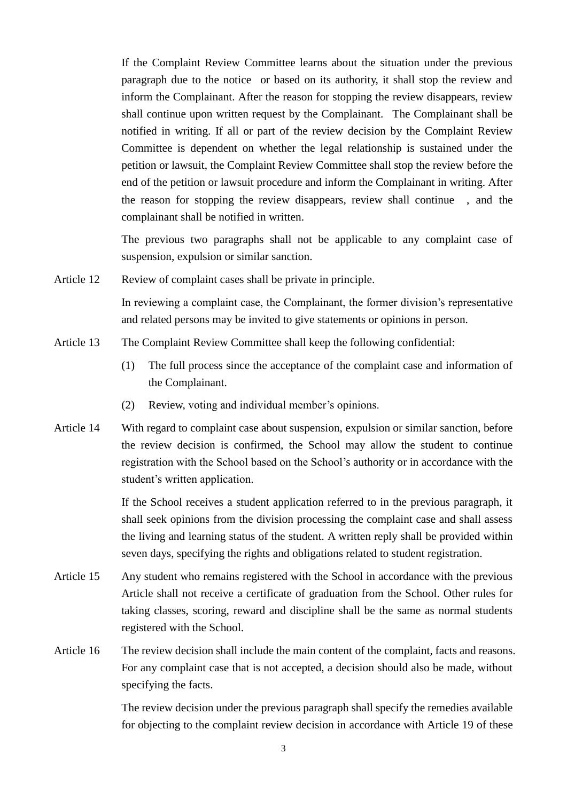If the Complaint Review Committee learns about the situation under the previous paragraph due to the notice or based on its authority, it shall stop the review and inform the Complainant. After the reason for stopping the review disappears, review shall continue upon written request by the Complainant. The Complainant shall be notified in writing. If all or part of the review decision by the Complaint Review Committee is dependent on whether the legal relationship is sustained under the petition or lawsuit, the Complaint Review Committee shall stop the review before the end of the petition or lawsuit procedure and inform the Complainant in writing. After the reason for stopping the review disappears, review shall continue , and the complainant shall be notified in written.

The previous two paragraphs shall not be applicable to any complaint case of suspension, expulsion or similar sanction.

Article 12 Review of complaint cases shall be private in principle.

In reviewing a complaint case, the Complainant, the former division's representative and related persons may be invited to give statements or opinions in person.

- Article 13 The Complaint Review Committee shall keep the following confidential:
	- (1) The full process since the acceptance of the complaint case and information of the Complainant.
	- (2) Review, voting and individual member's opinions.
- Article 14 With regard to complaint case about suspension, expulsion or similar sanction, before the review decision is confirmed, the School may allow the student to continue registration with the School based on the School's authority or in accordance with the student's written application.

If the School receives a student application referred to in the previous paragraph, it shall seek opinions from the division processing the complaint case and shall assess the living and learning status of the student. A written reply shall be provided within seven days, specifying the rights and obligations related to student registration.

- Article 15 Any student who remains registered with the School in accordance with the previous Article shall not receive a certificate of graduation from the School. Other rules for taking classes, scoring, reward and discipline shall be the same as normal students registered with the School.
- Article 16 The review decision shall include the main content of the complaint, facts and reasons. For any complaint case that is not accepted, a decision should also be made, without specifying the facts.

The review decision under the previous paragraph shall specify the remedies available for objecting to the complaint review decision in accordance with Article 19 of these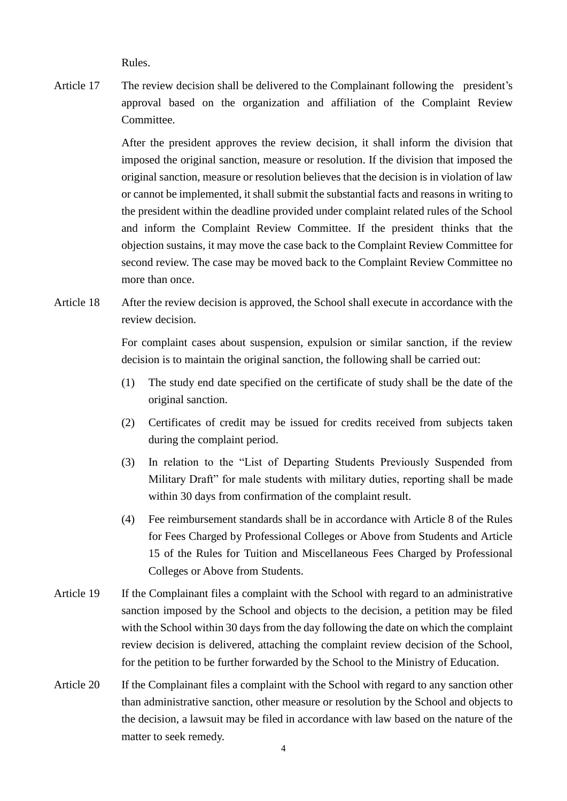Rules.

Article 17 The review decision shall be delivered to the Complainant following the president's approval based on the organization and affiliation of the Complaint Review Committee.

> After the president approves the review decision, it shall inform the division that imposed the original sanction, measure or resolution. If the division that imposed the original sanction, measure or resolution believes that the decision is in violation of law or cannot be implemented, it shall submit the substantial facts and reasons in writing to the president within the deadline provided under complaint related rules of the School and inform the Complaint Review Committee. If the president thinks that the objection sustains, it may move the case back to the Complaint Review Committee for second review. The case may be moved back to the Complaint Review Committee no more than once.

Article 18 After the review decision is approved, the School shall execute in accordance with the review decision.

> For complaint cases about suspension, expulsion or similar sanction, if the review decision is to maintain the original sanction, the following shall be carried out:

- (1) The study end date specified on the certificate of study shall be the date of the original sanction.
- (2) Certificates of credit may be issued for credits received from subjects taken during the complaint period.
- (3) In relation to the "List of Departing Students Previously Suspended from Military Draft" for male students with military duties, reporting shall be made within 30 days from confirmation of the complaint result.
- (4) Fee reimbursement standards shall be in accordance with Article 8 of the Rules for Fees Charged by Professional Colleges or Above from Students and Article 15 of the Rules for Tuition and Miscellaneous Fees Charged by Professional Colleges or Above from Students.
- Article 19 If the Complainant files a complaint with the School with regard to an administrative sanction imposed by the School and objects to the decision, a petition may be filed with the School within 30 days from the day following the date on which the complaint review decision is delivered, attaching the complaint review decision of the School, for the petition to be further forwarded by the School to the Ministry of Education.
- Article 20 If the Complainant files a complaint with the School with regard to any sanction other than administrative sanction, other measure or resolution by the School and objects to the decision, a lawsuit may be filed in accordance with law based on the nature of the matter to seek remedy.